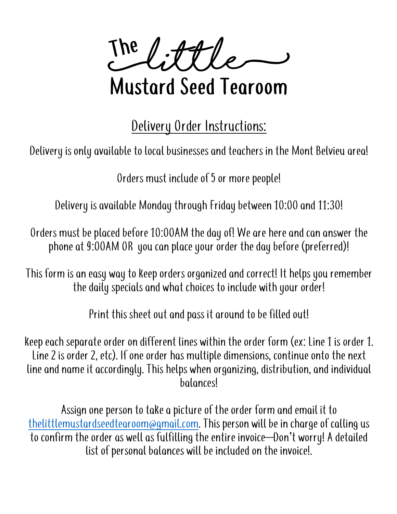**Elittle** The

## Mustard Seed Tearoom

Delivery Order Instructions:

Delivery is only available to local businesses and teachers in the Mont Belvieu area!

Orders must include of 5 or more people!

Delivery is available Monday through Fridaybetween 10:00 and 11:30!

Orders must be placed before 10:00AM the day of! We are here and can answer the phone at 9:00AM OR you can place your order the day before (preferred)!

This form is an easy way to keep orders organized and correct! It helps you remember the daily specials and what choices to include with your order!

Print this sheet out and pass it around to be filled out!

keep each separate order on different lines within the order form (ex: Line 1 is order 1. Line 2 is order 2, etc). If one order has multiple dimensions, continue onto the next line and name it accordingly. This helps when organizing, distribution, and individual balances!

Assign one person to take a picture of the order form and email it to thelittlemustardseedtearoom@gmail.com. This person will be in charge of calling us to confirm the order as well as fulfilling the entire invoice—Don't worry! A detailed list of personal balances will be included on the invoice!.